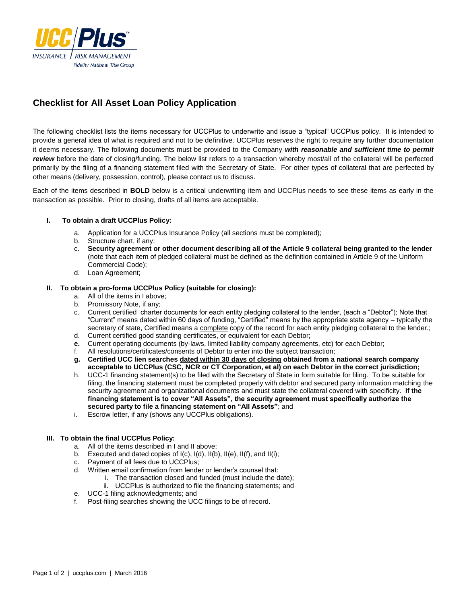

# **Checklist for All Asset Loan Policy Application**

The following checklist lists the items necessary for UCCPlus to underwrite and issue a "typical" UCCPlus policy. It is intended to provide a general idea of what is required and not to be definitive. UCCPlus reserves the right to require any further documentation it deems necessary. The following documents must be provided to the Company *with reasonable and sufficient time to permit review* before the date of closing/funding. The below list refers to a transaction whereby most/all of the collateral will be perfected primarily by the filing of a financing statement filed with the Secretary of State. For other types of collateral that are perfected by other means (delivery, possession, control), please contact us to discuss.

Each of the items described in **BOLD** below is a critical underwriting item and UCCPlus needs to see these items as early in the transaction as possible. Prior to closing, drafts of all items are acceptable.

#### **I. To obtain a draft UCCPlus Policy:**

- a. Application for a UCCPlus Insurance Policy (all sections must be completed);
- Structure chart, if any;
- c. **Security agreement or other document describing all of the Article 9 collateral being granted to the lender** (note that each item of pledged collateral must be defined as the definition contained in Article 9 of the Uniform Commercial Code);
- d. Loan Agreement;

#### **II. To obtain a pro-forma UCCPlus Policy (suitable for closing):**

- a. All of the items in I above;
- b. Promissory Note, if any;
- c. Current certified charter documents for each entity pledging collateral to the lender, (each a "Debtor"); Note that "Current" means dated within 60 days of funding, "Certified" means by the appropriate state agency – typically the secretary of state, Certified means a complete copy of the record for each entity pledging collateral to the lender.;
- d. Current certified good standing certificates, or equivalent for each Debtor;
- **e.** Current operating documents (by-laws, limited liability company agreements, etc) for each Debtor;
- f. All resolutions/certificates/consents of Debtor to enter into the subject transaction;
- **g. Certified UCC lien searches dated within 30 days of closing obtained from a national search company acceptable to UCCPlus (CSC, NCR or CT Corporation, et al) on each Debtor in the correct jurisdiction;**
- h. UCC-1 financing statement(s) to be filed with the Secretary of State in form suitable for filing. To be suitable for filing, the financing statement must be completed properly with debtor and secured party information matching the security agreement and organizational documents and must state the collateral covered with specificity. **If the financing statement is to cover "All Assets", the security agreement must specifically authorize the secured party to file a financing statement on "All Assets"**; and
- i. Escrow letter, if any (shows any UCCPlus obligations).

### **III. To obtain the final UCCPlus Policy:**

- a. All of the items described in I and II above;
- b. Executed and dated copies of I(c), I(d), II(b), II(e), II(f), and II(i);
- c. Payment of all fees due to UCCPlus;
- d. Written email confirmation from lender or lender's counsel that:
	- i. The transaction closed and funded (must include the date);
	- ii. UCCPlus is authorized to file the financing statements; and
- e. UCC-1 filing acknowledgments; and
- f. Post-filing searches showing the UCC filings to be of record.